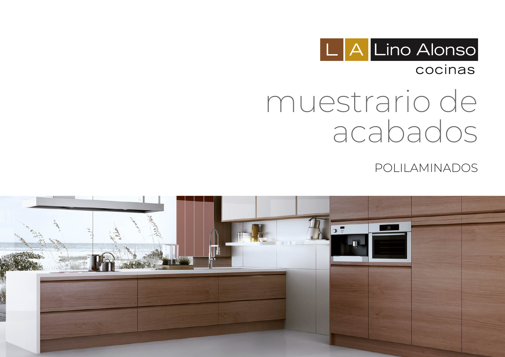

### cocinas

# muestrario de acabados

POLILAMINADOS

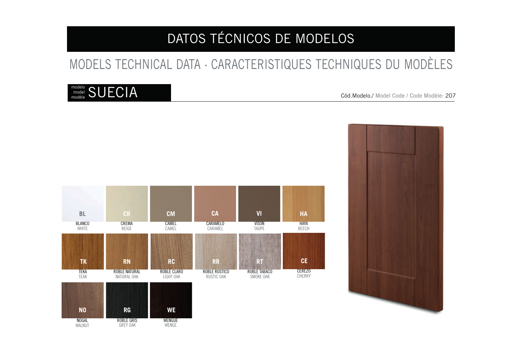# MODELS TECHNICAL DATA · CARACTERISTIQUES TECHNIQUES DU MODÈLES

### $\rm _{model}^{model}$  SUECIA model



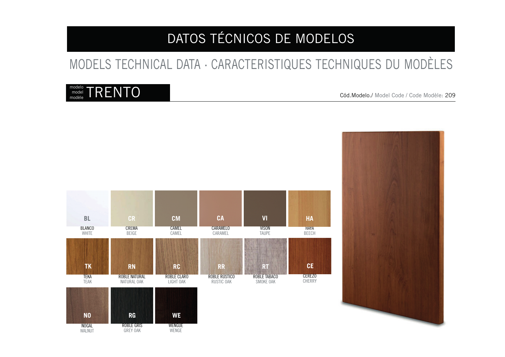# MODELS TECHNICAL DATA · CARACTERISTIQUES TECHNIQUES DU MODÈLES

### $\mathsf{C}_{\mathsf{model}}^{\mathsf{model}}$   $\mathsf{T}\mathsf{RENTO}$ model



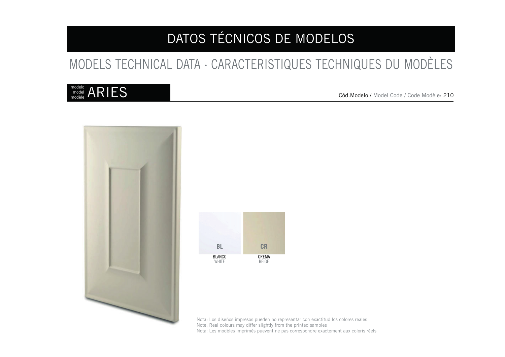# MODELS TECHNICAL DATA · CARACTERISTIQUES TECHNIQUES DU MODÈLES

#### $\mathop{{\rm model}}\limits_{{\rm model}}^{{\rm model}} {\rm ARIES}$ model modèle

Cód.Modelo./ Model Code / Code Modèle: 210





Nota: Los diseños impresos pueden no representar con exactitud los colores reales Note: Real colours may differ slightly from the printed samples Nota: Les modèles imprimés puevent ne pas correspondre exactement aux coloris réels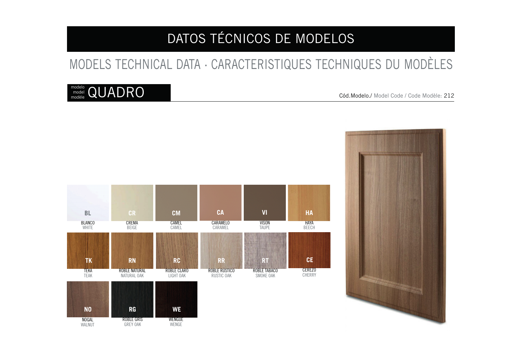# MODELS TECHNICAL DATA · CARACTERISTIQUES TECHNIQUES DU MODÈLES

### $\rm{m}^{\rm model}_{\rm model}$  QUADRO model



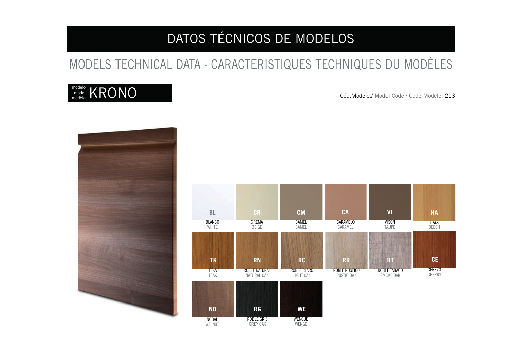# MODELS TECHNICAL DATA · CARACTERISTIQUES TECHNIQUES DU MODÈLES

### $\text{C}_{\tiny \text{model} \atop \text{model}}^{\tiny \text{model}}$  KRONO model

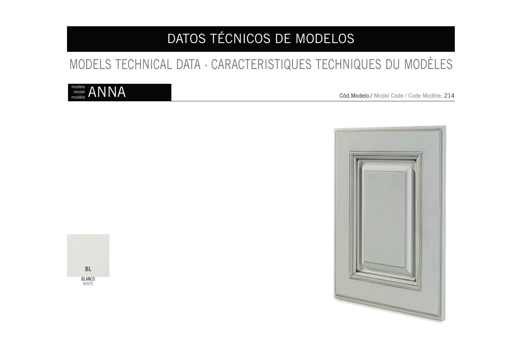# MODELS TECHNICAL DATA · CARACTERISTIQUES TECHNIQUES DU MODÈLES

### $_{\tiny \text{model} \atop \text{model}}^{\tiny \text{model}}$   $\mathsf{ANNA}$ model

Cód.Modelo./ Model Code / Code Modèle: 214



**BLANCO** WHITE **BL**